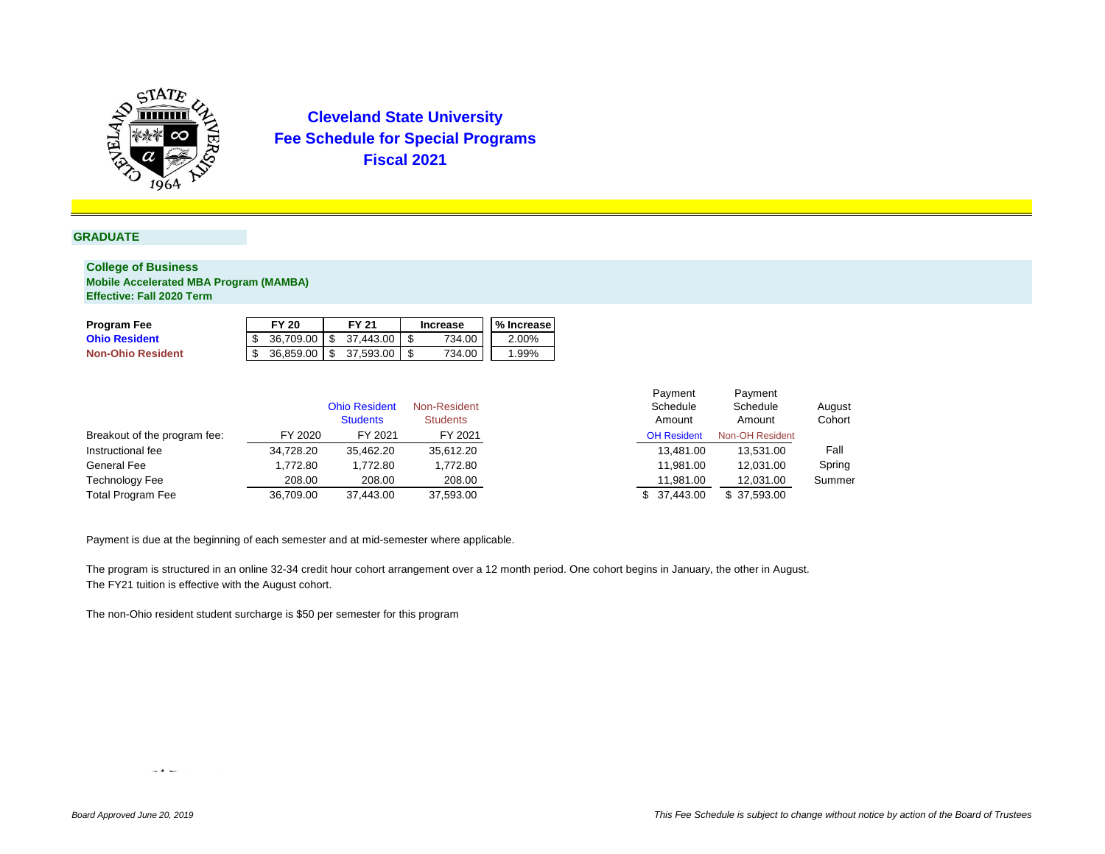

#### **GRADUATE**

### **College of Business Mobile Accelerated MBA Program (MAMBA) Effective: Fall 2020 Term**

| <b>Program Fee</b>       | <b>FY 20</b> |     | <b>FY 21</b> | <b>Increase</b> | % Increase |
|--------------------------|--------------|-----|--------------|-----------------|------------|
| <b>Ohio Resident</b>     | 36.709.00    | \$. | 37.443.00    | 734.00          | 2.00%      |
| <b>Non-Ohio Resident</b> | 36.859.00    | \$. | 37.593.00    | 734.00          | 1.99%      |

|                              |           | <b>Ohio Resident</b><br><b>Students</b> | Non-Resident<br><b>Students</b> | Schedule<br>Amount | Schedule<br>Amount | August<br>Cohort |
|------------------------------|-----------|-----------------------------------------|---------------------------------|--------------------|--------------------|------------------|
| Breakout of the program fee: | FY 2020   | FY 2021                                 | FY 2021                         | <b>OH Resident</b> | Non-OH Resident    |                  |
| Instructional fee            | 34,728.20 | 35,462.20                               | 35,612.20                       | 13.481.00          | 13.531.00          | Fall             |
| General Fee                  | 1.772.80  | 1.772.80                                | 1,772.80                        | 11.981.00          | 12.031.00          | Spring           |
| <b>Technology Fee</b>        | 208.00    | 208.00                                  | 208.00                          | 11.981.00          | 12,031.00          | Summer           |
| <b>Total Program Fee</b>     | 36,709.00 | 37,443.00                               | 37,593.00                       | 37.443.00          | \$ 37,593.00       |                  |

Payment is due at the beginning of each semester and at mid-semester where applicable.

The program is structured in an online 32-34 credit hour cohort arrangement over a 12 month period. One cohort begins in January, the other in August. The FY21 tuition is effective with the August cohort.

The non-Ohio resident student surcharge is \$50 per semester for this program

 $\sim$  4  $\sim$ 

Payment

Payment Schedule Amount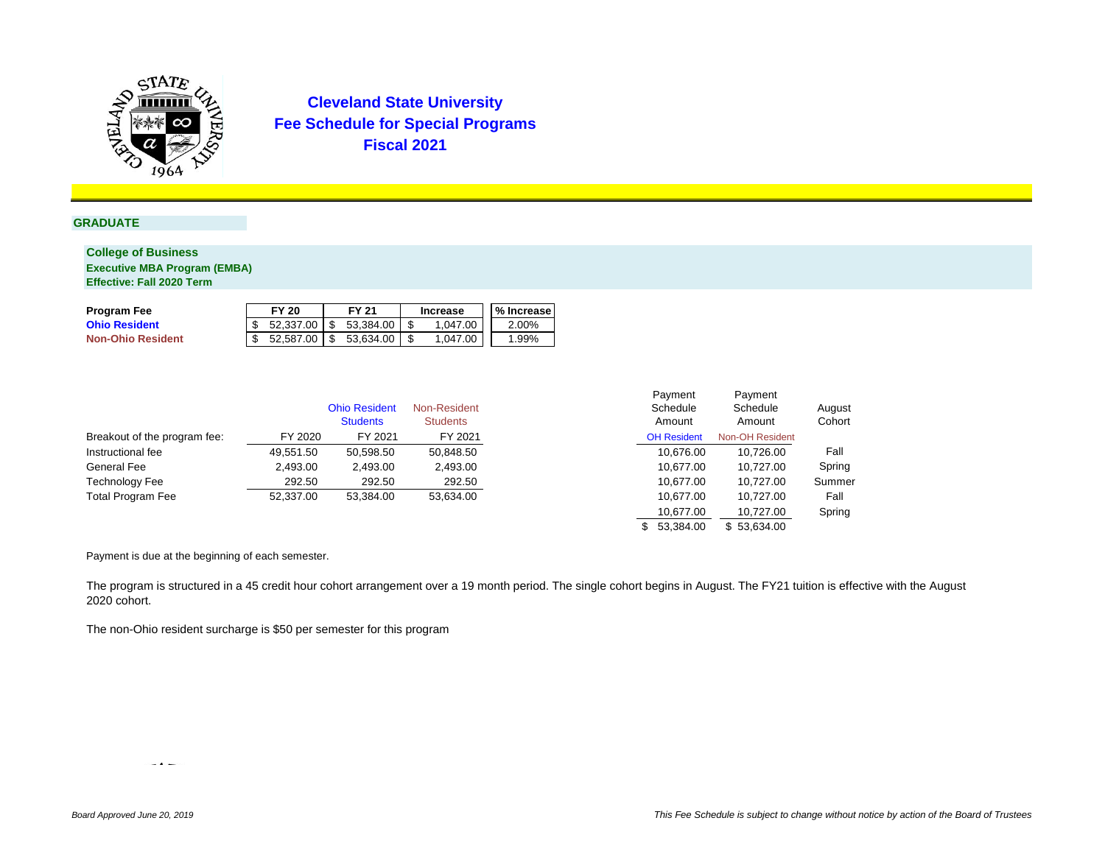

## **GRADUATE**

### **College of Business**

**Executive MBA Program (EMBA) Effective: Fall 2020 Term**

| Program Fee              | <b>FY 20</b> |     | FY 21                   | Increase | l % Increase |
|--------------------------|--------------|-----|-------------------------|----------|--------------|
| <b>Ohio Resident</b>     | 52.337.00    |     | $\frac{1}{5}$ 53.384.00 | 1.047.00 | 2.00%        |
| <b>Non-Ohio Resident</b> | 52.587.00    | -SS | 53.634.00               | 1.047.00 | 1.99%        |

|                              |           | <b>Ohio Resident</b> | Non-Resident    | Schedule           | Schedule        | August |
|------------------------------|-----------|----------------------|-----------------|--------------------|-----------------|--------|
|                              |           | <b>Students</b>      | <b>Students</b> | Amount             | Amount          | Cohort |
| Breakout of the program fee: | FY 2020   | FY 2021              | FY 2021         | <b>OH Resident</b> | Non-OH Resident |        |
| Instructional fee            | 49.551.50 | 50,598.50            | 50,848.50       | 10.676.00          | 10.726.00       | Fall   |
| General Fee                  | 2,493.00  | 2.493.00             | 2,493.00        | 10.677.00          | 10.727.00       | Spring |
| Technology Fee               | 292.50    | 292.50               | 292.50          | 10.677.00          | 10.727.00       | Summer |
| <b>Total Program Fee</b>     | 52.337.00 | 53.384.00            | 53,634.00       | 10.677.00          | 10.727.00       | Fall   |

| Payment            |  | Payment                |        |
|--------------------|--|------------------------|--------|
| Schedule           |  | Schedule               | August |
| Amount             |  | Amount                 | Cohort |
| <b>OH Resident</b> |  | <b>Non-OH Resident</b> |        |
| 10,676.00          |  | 10,726.00              | Fall   |
| 10,677.00          |  | 10,727.00              | Spring |
| 10,677.00          |  | 10.727.00              | Summer |
| 10,677.00          |  | 10,727.00              | Fall   |
| 10,677.00          |  | 10,727.00              | Spring |
| 53.384.00<br>\$    |  | \$53,634.00            |        |

Payment is due at the beginning of each semester.

The program is structured in a 45 credit hour cohort arrangement over a 19 month period. The single cohort begins in August. The FY21 tuition is effective with the August 2020 cohort.

The non-Ohio resident surcharge is \$50 per semester for this program

*<u>Contract Contract Contract Contract Contract Contract Contract Contract Contract Contract Contract Contract Contract Contract Contract Contract Contract Contract Contract Contract Contract Contract Contract Contract Con*</u>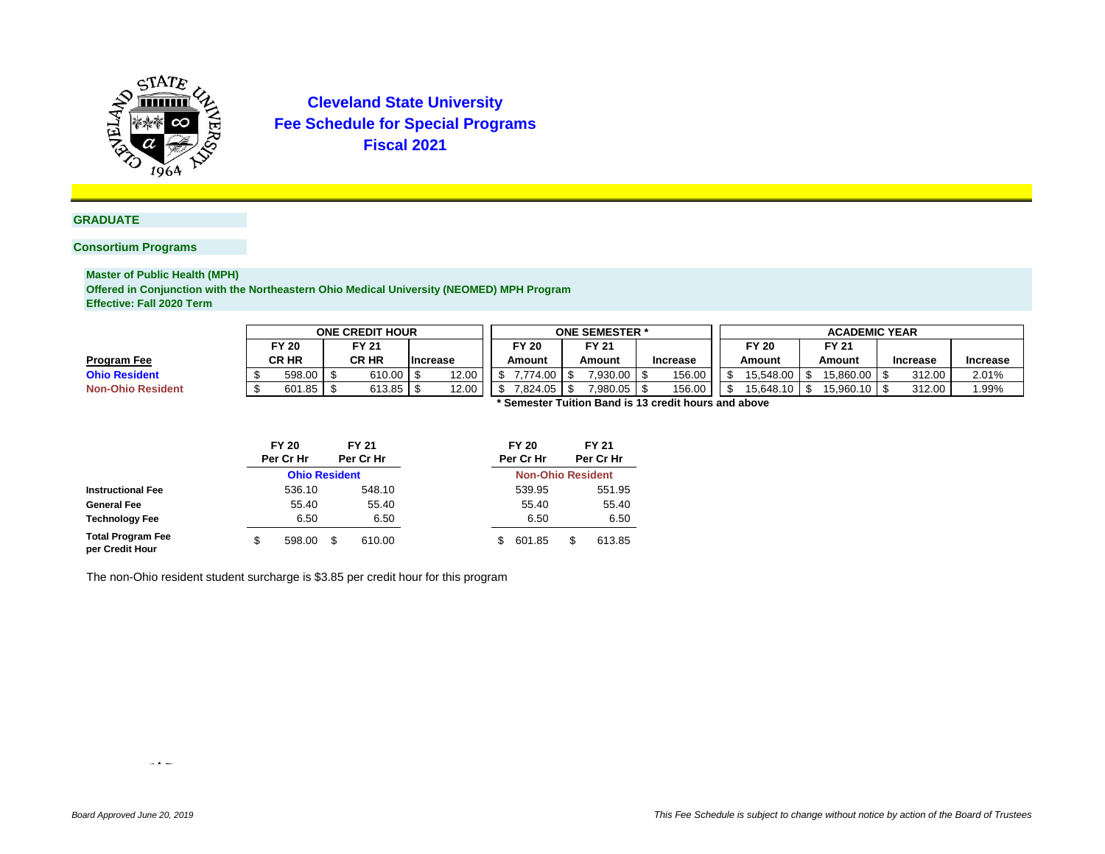

#### **GRADUATE**

## **Consortium Programs**

**Master of Public Health (MPH) Offered in Conjunction with the Northeastern Ohio Medical University (NEOMED) MPH Program Effective: Fall 2020 Term**

|                          |                                                |        |  | <b>ONE CREDIT HOUR</b> |                 |       | <b>ONE SEMESTER *</b> |            |                        |                |        |                                                     |        | <b>ACADEMIC YEAR</b> |                 |                 |  |        |       |  |  |  |
|--------------------------|------------------------------------------------|--------|--|------------------------|-----------------|-------|-----------------------|------------|------------------------|----------------|--------|-----------------------------------------------------|--------|----------------------|-----------------|-----------------|--|--------|-------|--|--|--|
|                          | FY 20<br>FY 21                                 |        |  |                        |                 |       | FY 20<br>Amount       |            | <b>FY 21</b><br>Amount |                |        |                                                     | FY 20  |                      | <b>FY 21</b>    |                 |  |        |       |  |  |  |
| Program Fee              | <b>CR HR</b><br><b>CRHR</b><br><b>Increase</b> |        |  |                        | <b>Increase</b> |       |                       |            |                        |                | Amount |                                                     | Amount |                      | <b>Increase</b> | <b>Increase</b> |  |        |       |  |  |  |
| <b>Ohio Resident</b>     |                                                | 598.00 |  | 610.00                 |                 | 12.00 |                       | 7.774.00 S |                        | $7.930.00$ S   |        | 156.00                                              |        | 15.548.00            |                 | 15.860.00       |  | 312.00 | 2.01% |  |  |  |
| <b>Non-Ohio Resident</b> |                                                | 601.85 |  | 613.85                 |                 | 12.00 |                       | 7.824.05 S |                        | $7,980.05$ \\$ |        | 156.00                                              |        | 15.648.10            |                 | 15.960.10       |  | 312.00 | .99%  |  |  |  |
|                          |                                                |        |  |                        |                 |       |                       |            |                        |                |        | 'Semester Tuition Band is 13 credit hours and above |        |                      |                 |                 |  |        |       |  |  |  |

|                                             |   | <b>FY 20</b>         |    | <b>FY 21</b> |  |    | <b>FY 20</b>             |     | <b>FY 21</b> |
|---------------------------------------------|---|----------------------|----|--------------|--|----|--------------------------|-----|--------------|
|                                             |   | Per Cr Hr            |    | Per Cr Hr    |  |    | Per Cr Hr                |     | Per Cr Hr    |
|                                             |   | <b>Ohio Resident</b> |    |              |  |    | <b>Non-Ohio Resident</b> |     |              |
| <b>Instructional Fee</b>                    |   | 536.10               |    | 548.10       |  |    | 539.95                   |     | 551.95       |
| <b>General Fee</b>                          |   | 55.40                |    | 55.40        |  |    | 55.40                    |     | 55.40        |
| <b>Technology Fee</b>                       |   | 6.50                 |    | 6.50         |  |    | 6.50                     |     | 6.50         |
| <b>Total Program Fee</b><br>per Credit Hour | S | 598.00               | \$ | 610.00       |  | S. | 601.85                   | \$. | 613.85       |

The non-Ohio resident student surcharge is \$3.85 per credit hour for this program

 $\rightarrow$   $\rightarrow$